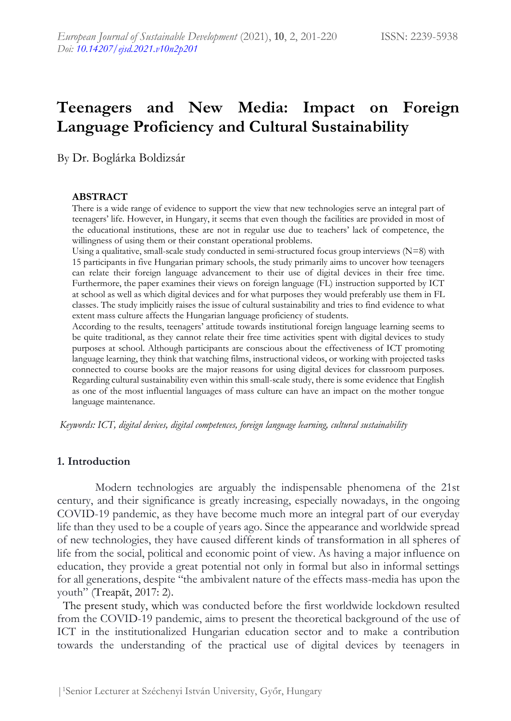# **Teenagers and New Media: Impact on Foreign Language Proficiency and Cultural Sustainability**

By Dr. Boglárka Boldizsár

#### **ABSTRACT**

There is a wide range of evidence to support the view that new technologies serve an integral part of teenagers' life. However, in Hungary, it seems that even though the facilities are provided in most of the educational institutions, these are not in regular use due to teachers' lack of competence, the willingness of using them or their constant operational problems.

Using a qualitative, small-scale study conducted in semi-structured focus group interviews (N=8) with 15 participants in five Hungarian primary schools, the study primarily aims to uncover how teenagers can relate their foreign language advancement to their use of digital devices in their free time. Furthermore, the paper examines their views on foreign language (FL) instruction supported by ICT at school as well as which digital devices and for what purposes they would preferably use them in FL classes. The study implicitly raises the issue of cultural sustainability and tries to find evidence to what extent mass culture affects the Hungarian language proficiency of students.

According to the results, teenagers' attitude towards institutional foreign language learning seems to be quite traditional, as they cannot relate their free time activities spent with digital devices to study purposes at school. Although participants are conscious about the effectiveness of ICT promoting language learning, they think that watching films, instructional videos, or working with projected tasks connected to course books are the major reasons for using digital devices for classroom purposes. Regarding cultural sustainability even within this small-scale study, there is some evidence that English as one of the most influential languages of mass culture can have an impact on the mother tongue language maintenance.

*Keywords: ICT, digital devices, digital competences, foreign language learning, cultural sustainability*

#### **1. Introduction**

Modern technologies are arguably the indispensable phenomena of the 21st century, and their significance is greatly increasing, especially nowadays, in the ongoing COVID-19 pandemic, as they have become much more an integral part of our everyday life than they used to be a couple of years ago. Since the appearance and worldwide spread of new technologies, they have caused different kinds of transformation in all spheres of life from the social, political and economic point of view. As having a major influence on education, they provide a great potential not only in formal but also in informal settings for all generations, despite "the ambivalent nature of the effects mass-media has upon the youth" (Treapăt, 2017: 2).

 The present study, which was conducted before the first worldwide lockdown resulted from the COVID-19 pandemic, aims to present the theoretical background of the use of ICT in the institutionalized Hungarian education sector and to make a contribution towards the understanding of the practical use of digital devices by teenagers in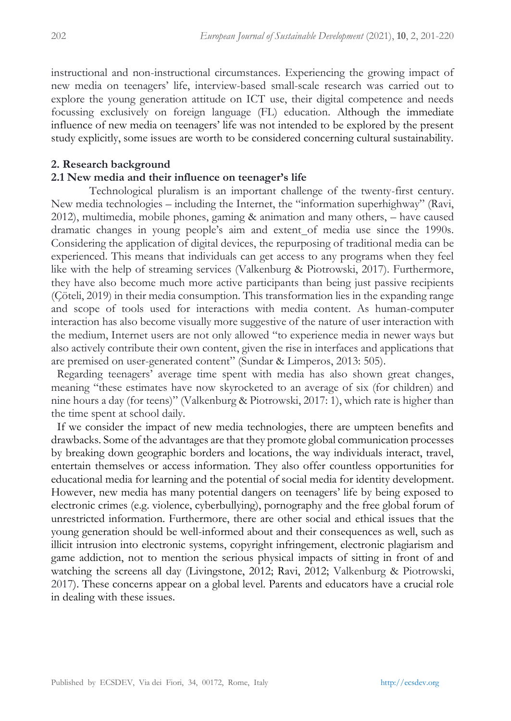instructional and non-instructional circumstances. Experiencing the growing impact of new media on teenagers' life, interview-based small-scale research was carried out to explore the young generation attitude on ICT use, their digital competence and needs focussing exclusively on foreign language (FL) education. Although the immediate influence of new media on teenagers' life was not intended to be explored by the present study explicitly, some issues are worth to be considered concerning cultural sustainability.

#### **2. Research background**

## **2.1 New media and their influence on teenager's life**

Technological pluralism is an important challenge of the twenty-first century. New media technologies – including the Internet, the "information superhighway" (Ravi, 2012), multimedia, mobile phones, gaming & animation and many others, – have caused dramatic changes in young people's aim and extent of media use since the 1990s. Considering the application of digital devices, the repurposing of traditional media can be experienced. This means that individuals can get access to any programs when they feel like with the help of streaming services (Valkenburg & Piotrowski, 2017). Furthermore, they have also become much more active participants than being just passive recipients (Çöteli, 2019) in their media consumption. This transformation lies in the expanding range and scope of tools used for interactions with media content. As human-computer interaction has also become visually more suggestive of the nature of user interaction with the medium, Internet users are not only allowed "to experience media in newer ways but also actively contribute their own content, given the rise in interfaces and applications that are premised on user-generated content" (Sundar & Limperos, 2013: 505).

 Regarding teenagers' average time spent with media has also shown great changes, meaning "these estimates have now skyrocketed to an average of six (for children) and nine hours a day (for teens)" (Valkenburg & Piotrowski, 2017: 1), which rate is higher than the time spent at school daily.

 If we consider the impact of new media technologies, there are umpteen benefits and drawbacks. Some of the advantages are that they promote global communication processes by breaking down geographic borders and locations, the way individuals interact, travel, entertain themselves or access information. They also offer countless opportunities for educational media for learning and the potential of social media for identity development. However, new media has many potential dangers on teenagers' life by being exposed to electronic crimes (e.g. violence, cyberbullying), pornography and the free global forum of unrestricted information. Furthermore, there are other social and ethical issues that the young generation should be well-informed about and their consequences as well, such as illicit intrusion into electronic systems, copyright infringement, electronic plagiarism and game addiction, not to mention the serious physical impacts of sitting in front of and watching the screens all day (Livingstone, 2012; Ravi, 2012; Valkenburg & Piotrowski, 2017). These concerns appear on a global level. Parents and educators have a crucial role in dealing with these issues.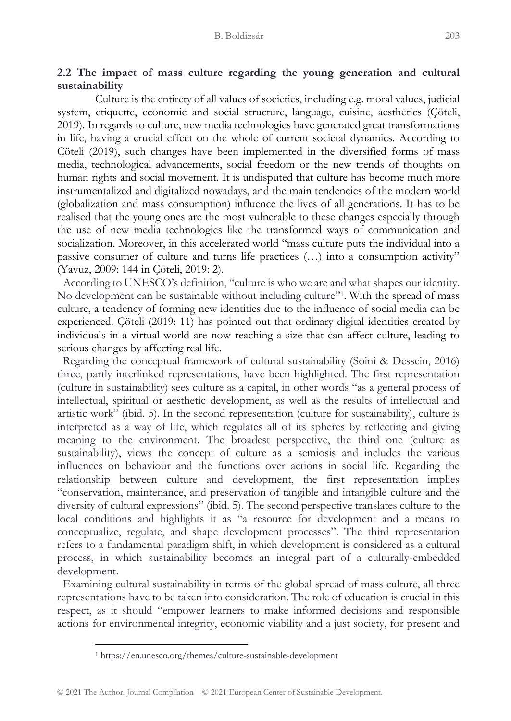## **2.2 The impact of mass culture regarding the young generation and cultural sustainability**

Culture is the entirety of all values of societies, including e.g. moral values, judicial system, etiquette, economic and social structure, language, cuisine, aesthetics (Çöteli, 2019). In regards to culture, new media technologies have generated great transformations in life, having a crucial effect on the whole of current societal dynamics. According to Çöteli (2019), such changes have been implemented in the diversified forms of mass media, technological advancements, social freedom or the new trends of thoughts on human rights and social movement. It is undisputed that culture has become much more instrumentalized and digitalized nowadays, and the main tendencies of the modern world (globalization and mass consumption) influence the lives of all generations. It has to be realised that the young ones are the most vulnerable to these changes especially through the use of new media technologies like the transformed ways of communication and socialization. Moreover, in this accelerated world "mass culture puts the individual into a passive consumer of culture and turns life practices (…) into a consumption activity" (Yavuz, 2009: 144 in Çöteli, 2019: 2).

 According to UNESCO's definition, "culture is who we are and what shapes our identity. No development can be sustainable without including culture"<sup>1</sup>. With the spread of mass culture, a tendency of forming new identities due to the influence of social media can be experienced. Çöteli (2019: 11) has pointed out that ordinary digital identities created by individuals in a virtual world are now reaching a size that can affect culture, leading to serious changes by affecting real life.

 Regarding the conceptual framework of cultural sustainability (Soini & Dessein, 2016) three, partly interlinked representations, have been highlighted. The first representation (culture in sustainability) sees culture as a capital, in other words "as a general process of intellectual, spiritual or aesthetic development, as well as the results of intellectual and artistic work" (ibid. 5). In the second representation (culture for sustainability), culture is interpreted as a way of life, which regulates all of its spheres by reflecting and giving meaning to the environment. The broadest perspective, the third one (culture as sustainability), views the concept of culture as a semiosis and includes the various influences on behaviour and the functions over actions in social life. Regarding the relationship between culture and development, the first representation implies "conservation, maintenance, and preservation of tangible and intangible culture and the diversity of cultural expressions" (ibid. 5). The second perspective translates culture to the local conditions and highlights it as "a resource for development and a means to conceptualize, regulate, and shape development processes". The third representation refers to a fundamental paradigm shift, in which development is considered as a cultural process, in which sustainability becomes an integral part of a culturally-embedded development.

 Examining cultural sustainability in terms of the global spread of mass culture, all three representations have to be taken into consideration. The role of education is crucial in this respect, as it should "empower learners to make informed decisions and responsible actions for environmental integrity, economic viability and a just society, for present and

<sup>1</sup> https://en.unesco.org/themes/culture-sustainable-development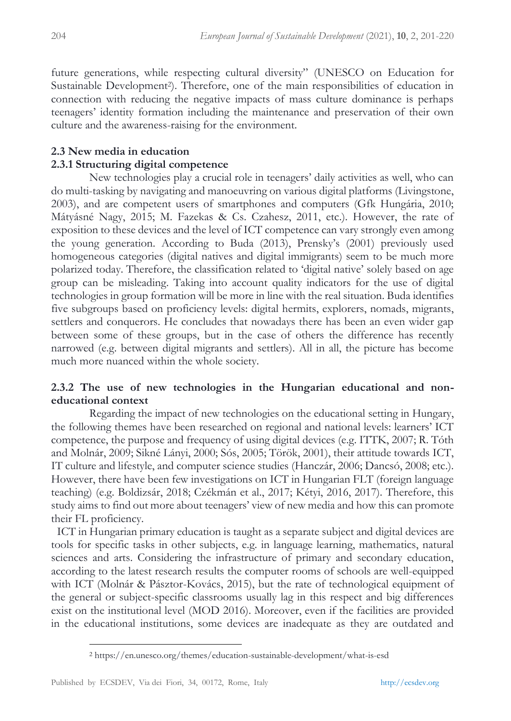future generations, while respecting cultural diversity" (UNESCO on Education for Sustainable Development<sup>2</sup>). Therefore, one of the main responsibilities of education in connection with reducing the negative impacts of mass culture dominance is perhaps teenagers' identity formation including the maintenance and preservation of their own culture and the awareness-raising for the environment.

## **2.3 New media in education 2.3.1 Structuring digital competence**

New technologies play a crucial role in teenagers' daily activities as well, who can do multi-tasking by navigating and manoeuvring on various digital platforms (Livingstone, 2003), and are competent users of smartphones and computers (Gfk Hungária, 2010; Mátyásné Nagy, 2015; M. Fazekas & Cs. Czahesz, 2011, etc.). However, the rate of exposition to these devices and the level of ICT competence can vary strongly even among the young generation. According to Buda (2013), Prensky's (2001) previously used homogeneous categories (digital natives and digital immigrants) seem to be much more polarized today. Therefore, the classification related to 'digital native' solely based on age group can be misleading. Taking into account quality indicators for the use of digital technologies in group formation will be more in line with the real situation. Buda identifies five subgroups based on proficiency levels: digital hermits, explorers, nomads, migrants, settlers and conquerors. He concludes that nowadays there has been an even wider gap between some of these groups, but in the case of others the difference has recently narrowed (e.g. between digital migrants and settlers). All in all, the picture has become much more nuanced within the whole society.

## **2.3.2 The use of new technologies in the Hungarian educational and noneducational context**

Regarding the impact of new technologies on the educational setting in Hungary, the following themes have been researched on regional and national levels: learners' ICT competence, the purpose and frequency of using digital devices (e.g. ITTK, 2007; R. Tóth and Molnár, 2009; Sikné Lányi, 2000; Sós, 2005; Török, 2001), their attitude towards ICT, IT culture and lifestyle, and computer science studies (Hanczár, 2006; Dancsó, 2008; etc.). However, there have been few investigations on ICT in Hungarian FLT (foreign language teaching) (e.g. Boldizsár, 2018; Czékmán et al., 2017; Kétyi, 2016, 2017). Therefore, this study aims to find out more about teenagers' view of new media and how this can promote their FL proficiency.

 ICT in Hungarian primary education is taught as a separate subject and digital devices are tools for specific tasks in other subjects, e.g. in language learning, mathematics, natural sciences and arts. Considering the infrastructure of primary and secondary education, according to the latest research results the computer rooms of schools are well-equipped with ICT (Molnár & Pásztor-Kovács, 2015), but the rate of technological equipment of the general or subject-specific classrooms usually lag in this respect and big differences exist on the institutional level (MOD 2016). Moreover, even if the facilities are provided in the educational institutions, some devices are inadequate as they are outdated and

<sup>2</sup> https://en.unesco.org/themes/education-sustainable-development/what-is-esd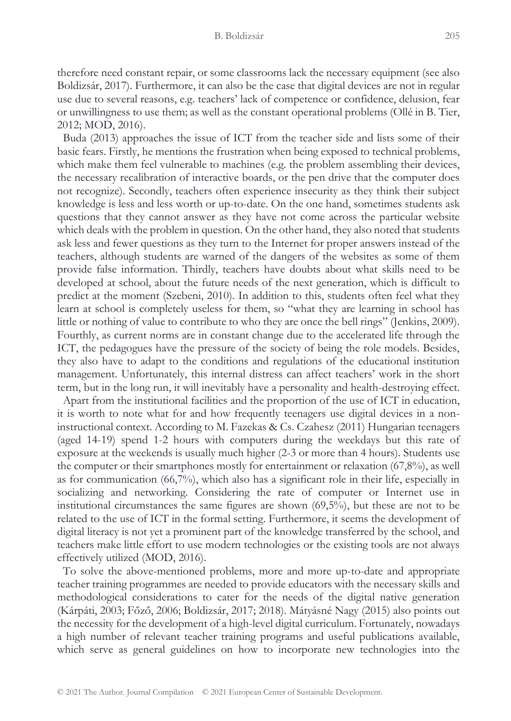therefore need constant repair, or some classrooms lack the necessary equipment (see also Boldizsár, 2017). Furthermore, it can also be the case that digital devices are not in regular use due to several reasons, e.g. teachers' lack of competence or confidence, delusion, fear or unwillingness to use them; as well as the constant operational problems (Ollé in B. Tier, 2012; MOD, 2016).

 Buda (2013) approaches the issue of ICT from the teacher side and lists some of their basic fears. Firstly, he mentions the frustration when being exposed to technical problems, which make them feel vulnerable to machines (e.g. the problem assembling their devices, the necessary recalibration of interactive boards, or the pen drive that the computer does not recognize). Secondly, teachers often experience insecurity as they think their subject knowledge is less and less worth or up-to-date. On the one hand, sometimes students ask questions that they cannot answer as they have not come across the particular website which deals with the problem in question. On the other hand, they also noted that students ask less and fewer questions as they turn to the Internet for proper answers instead of the teachers, although students are warned of the dangers of the websites as some of them provide false information. Thirdly, teachers have doubts about what skills need to be developed at school, about the future needs of the next generation, which is difficult to predict at the moment (Szebeni, 2010). In addition to this, students often feel what they learn at school is completely useless for them, so "what they are learning in school has little or nothing of value to contribute to who they are once the bell rings" (Jenkins, 2009). Fourthly, as current norms are in constant change due to the accelerated life through the ICT, the pedagogues have the pressure of the society of being the role models. Besides, they also have to adapt to the conditions and regulations of the educational institution management. Unfortunately, this internal distress can affect teachers' work in the short term, but in the long run, it will inevitably have a personality and health-destroying effect.

 Apart from the institutional facilities and the proportion of the use of ICT in education, it is worth to note what for and how frequently teenagers use digital devices in a noninstructional context. According to M. Fazekas & Cs. Czahesz (2011) Hungarian teenagers (aged 14-19) spend 1-2 hours with computers during the weekdays but this rate of exposure at the weekends is usually much higher (2-3 or more than 4 hours). Students use the computer or their smartphones mostly for entertainment or relaxation (67,8%), as well as for communication  $(66,7%)$ , which also has a significant role in their life, especially in socializing and networking. Considering the rate of computer or Internet use in institutional circumstances the same figures are shown (69,5%), but these are not to be related to the use of ICT in the formal setting. Furthermore, it seems the development of digital literacy is not yet a prominent part of the knowledge transferred by the school, and teachers make little effort to use modern technologies or the existing tools are not always effectively utilized (MOD, 2016).

 To solve the above-mentioned problems, more and more up-to-date and appropriate teacher training programmes are needed to provide educators with the necessary skills and methodological considerations to cater for the needs of the digital native generation (Kárpáti, 2003; Főző, 2006; Boldizsár, 2017; 2018). Mátyásné Nagy (2015) also points out the necessity for the development of a high-level digital curriculum. Fortunately, nowadays a high number of relevant teacher training programs and useful publications available, which serve as general guidelines on how to incorporate new technologies into the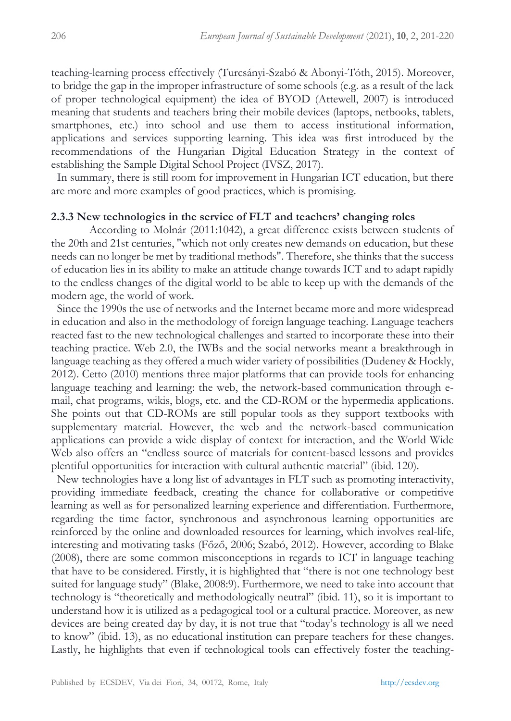teaching-learning process effectively (Turcsányi-Szabó & Abonyi-Tóth, 2015). Moreover, to bridge the gap in the improper infrastructure of some schools (e.g. as a result of the lack of proper technological equipment) the idea of BYOD (Attewell, 2007) is introduced meaning that students and teachers bring their mobile devices (laptops, netbooks, tablets, smartphones, etc.) into school and use them to access institutional information, applications and services supporting learning. This idea was first introduced by the recommendations of the Hungarian Digital Education Strategy in the context of establishing the Sample Digital School Project (IVSZ, 2017).

In summary, there is still room for improvement in Hungarian ICT education, but there are more and more examples of good practices, which is promising.

## **2.3.3 New technologies in the service of FLT and teachers' changing roles**

According to Molnár (2011:1042), a great difference exists between students of the 20th and 21st centuries, "which not only creates new demands on education, but these needs can no longer be met by traditional methods". Therefore, she thinks that the success of education lies in its ability to make an attitude change towards ICT and to adapt rapidly to the endless changes of the digital world to be able to keep up with the demands of the modern age, the world of work.

 Since the 1990s the use of networks and the Internet became more and more widespread in education and also in the methodology of foreign language teaching. Language teachers reacted fast to the new technological challenges and started to incorporate these into their teaching practice. Web 2.0, the IWBs and the social networks meant a breakthrough in language teaching as they offered a much wider variety of possibilities (Dudeney & Hockly, 2012). Cetto (2010) mentions three major platforms that can provide tools for enhancing language teaching and learning: the web, the network-based communication through email, chat programs, wikis, blogs, etc. and the CD-ROM or the hypermedia applications. She points out that CD-ROMs are still popular tools as they support textbooks with supplementary material. However, the web and the network-based communication applications can provide a wide display of context for interaction, and the World Wide Web also offers an "endless source of materials for content-based lessons and provides plentiful opportunities for interaction with cultural authentic material" (ibid. 120).

 New technologies have a long list of advantages in FLT such as promoting interactivity, providing immediate feedback, creating the chance for collaborative or competitive learning as well as for personalized learning experience and differentiation. Furthermore, regarding the time factor, synchronous and asynchronous learning opportunities are reinforced by the online and downloaded resources for learning, which involves real-life, interesting and motivating tasks (Főző, 2006; Szabó, 2012). However, according to Blake (2008), there are some common misconceptions in regards to ICT in language teaching that have to be considered. Firstly, it is highlighted that "there is not one technology best suited for language study" (Blake, 2008:9). Furthermore, we need to take into account that technology is "theoretically and methodologically neutral" (ibid. 11), so it is important to understand how it is utilized as a pedagogical tool or a cultural practice. Moreover, as new devices are being created day by day, it is not true that "today's technology is all we need to know" (ibid. 13), as no educational institution can prepare teachers for these changes. Lastly, he highlights that even if technological tools can effectively foster the teaching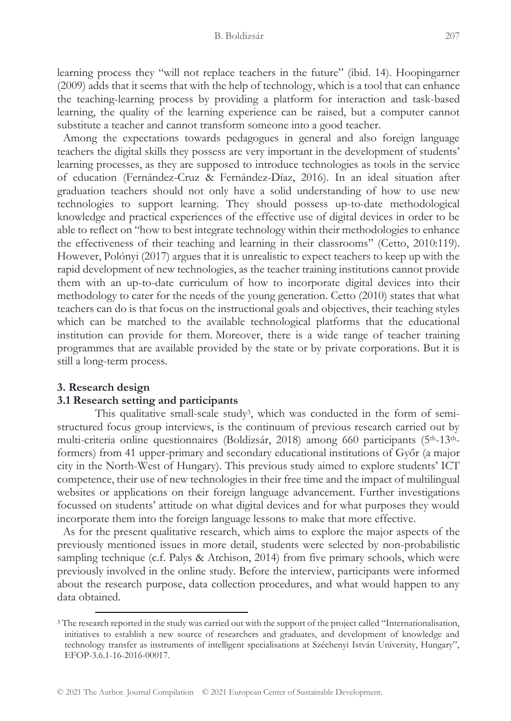learning process they "will not replace teachers in the future" (ibid. 14). Hoopingarner (2009) adds that it seems that with the help of technology, which is a tool that can enhance the teaching-learning process by providing a platform for interaction and task-based learning, the quality of the learning experience can be raised, but a computer cannot substitute a teacher and cannot transform someone into a good teacher.

 Among the expectations towards pedagogues in general and also foreign language teachers the digital skills they possess are very important in the development of students' learning processes, as they are supposed to introduce technologies as tools in the service of education (Fernández-Cruz & Fernández-Díaz, 2016). In an ideal situation after graduation teachers should not only have a solid understanding of how to use new technologies to support learning. They should possess up-to-date methodological knowledge and practical experiences of the effective use of digital devices in order to be able to reflect on "how to best integrate technology within their methodologies to enhance the effectiveness of their teaching and learning in their classrooms" (Cetto, 2010:119). However, Polónyi (2017) argues that it is unrealistic to expect teachers to keep up with the rapid development of new technologies, as the teacher training institutions cannot provide them with an up-to-date curriculum of how to incorporate digital devices into their methodology to cater for the needs of the young generation. Cetto (2010) states that what teachers can do is that focus on the instructional goals and objectives, their teaching styles which can be matched to the available technological platforms that the educational institution can provide for them. Moreover, there is a wide range of teacher training programmes that are available provided by the state or by private corporations. But it is still a long-term process.

#### **3. Research design**

#### **3.1 Research setting and participants**

This qualitative small-scale study<sup>3</sup>, which was conducted in the form of semistructured focus group interviews, is the continuum of previous research carried out by multi-criteria online questionnaires (Boldizsár, 2018) among 660 participants (5th-13thformers) from 41 upper-primary and secondary educational institutions of Győr (a major city in the North-West of Hungary). This previous study aimed to explore students' ICT competence, their use of new technologies in their free time and the impact of multilingual websites or applications on their foreign language advancement. Further investigations focussed on students' attitude on what digital devices and for what purposes they would incorporate them into the foreign language lessons to make that more effective.

 As for the present qualitative research, which aims to explore the major aspects of the previously mentioned issues in more detail, students were selected by non-probabilistic sampling technique (c.f. Palys & Atchison, 2014) from five primary schools, which were previously involved in the online study. Before the interview, participants were informed about the research purpose, data collection procedures, and what would happen to any data obtained.

<sup>3</sup> The research reported in the study was carried out with the support of the project called "Internationalisation, initiatives to establish a new source of researchers and graduates, and development of knowledge and technology transfer as instruments of intelligent specialisations at Széchenyi István University, Hungary", EFOP-3.6.1-16-2016-00017.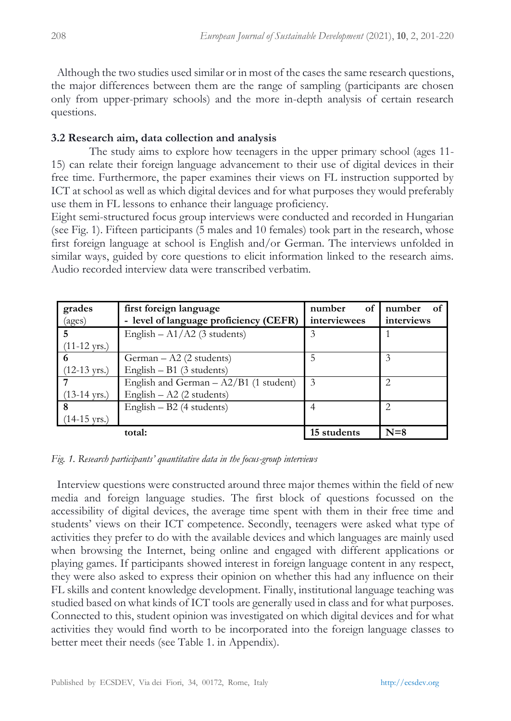Although the two studies used similar or in most of the cases the same research questions, the major differences between them are the range of sampling (participants are chosen only from upper-primary schools) and the more in-depth analysis of certain research questions.

## **3.2 Research aim, data collection and analysis**

The study aims to explore how teenagers in the upper primary school (ages 11- 15) can relate their foreign language advancement to their use of digital devices in their free time. Furthermore, the paper examines their views on FL instruction supported by ICT at school as well as which digital devices and for what purposes they would preferably use them in FL lessons to enhance their language proficiency.

Eight semi-structured focus group interviews were conducted and recorded in Hungarian (see Fig. 1). Fifteen participants (5 males and 10 females) took part in the research, whose first foreign language at school is English and/or German. The interviews unfolded in similar ways, guided by core questions to elicit information linked to the research aims. Audio recorded interview data were transcribed verbatim.

| grades<br>(ages)       | first foreign language<br>- level of language proficiency (CEFR) | of<br>number<br>interviewees | number<br>- of<br>interviews |
|------------------------|------------------------------------------------------------------|------------------------------|------------------------------|
| 5                      | English $- A1/A2$ (3 students)                                   | 3                            |                              |
| $(11-12 \text{ yrs.})$ |                                                                  |                              |                              |
| 6                      | $German - A2 (2 students)$                                       |                              | 3                            |
| $(12-13 \text{ yrs.})$ | English $- B1$ (3 students)                                      |                              |                              |
|                        | English and German $- A2/B1$ (1 student)                         | 3                            | $\mathfrak{D}$               |
| $(13-14 \text{ yrs.})$ | English $-$ A2 (2 students)                                      |                              |                              |
| 8                      | English $- B2$ (4 students)                                      |                              | $\mathcal{D}_{\mathcal{L}}$  |
| $(14-15 \text{ yrs.})$ |                                                                  |                              |                              |
|                        | total:                                                           | 15 students                  | $N=8$                        |

*Fig. 1. Research participants' quantitative data in the focus-group interviews*

 Interview questions were constructed around three major themes within the field of new media and foreign language studies. The first block of questions focussed on the accessibility of digital devices, the average time spent with them in their free time and students' views on their ICT competence. Secondly, teenagers were asked what type of activities they prefer to do with the available devices and which languages are mainly used when browsing the Internet, being online and engaged with different applications or playing games. If participants showed interest in foreign language content in any respect, they were also asked to express their opinion on whether this had any influence on their FL skills and content knowledge development. Finally, institutional language teaching was studied based on what kinds of ICT tools are generally used in class and for what purposes. Connected to this, student opinion was investigated on which digital devices and for what activities they would find worth to be incorporated into the foreign language classes to better meet their needs (see Table 1. in Appendix).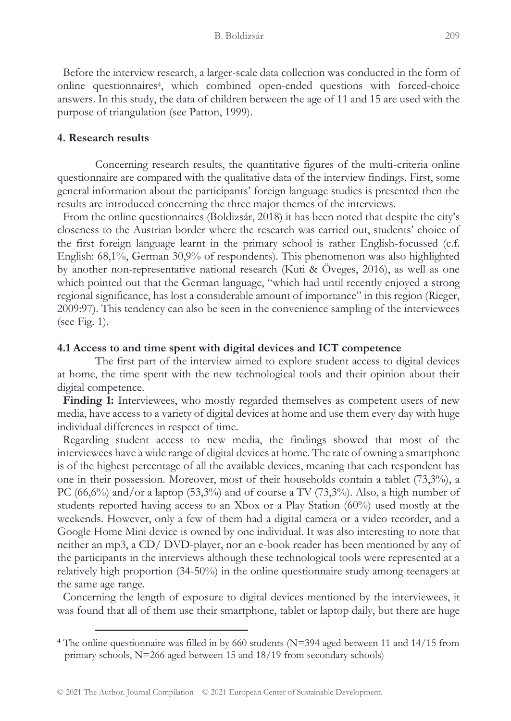Before the interview research, a larger-scale data collection was conducted in the form of online questionnaires<sup>4</sup>, which combined open-ended questions with forced-choice answers. In this study, the data of children between the age of 11 and 15 are used with the purpose of triangulation (see Patton, 1999).

#### **4. Research results**

Concerning research results, the quantitative figures of the multi-criteria online questionnaire are compared with the qualitative data of the interview findings. First, some general information about the participants' foreign language studies is presented then the results are introduced concerning the three major themes of the interviews.

From the online questionnaires (Boldizsár, 2018) it has been noted that despite the city's closeness to the Austrian border where the research was carried out, students' choice of the first foreign language learnt in the primary school is rather English-focussed (c.f. English: 68,1%, German 30,9% of respondents). This phenomenon was also highlighted by another non-representative national research (Kuti & Öveges, 2016), as well as one which pointed out that the German language, "which had until recently enjoyed a strong regional significance, has lost a considerable amount of importance" in this region (Rieger, 2009:97). This tendency can also be seen in the convenience sampling of the interviewees (see Fig. 1).

#### **4.1 Access to and time spent with digital devices and ICT competence**

The first part of the interview aimed to explore student access to digital devices at home, the time spent with the new technological tools and their opinion about their digital competence.

**Finding 1:** Interviewees, who mostly regarded themselves as competent users of new media, have access to a variety of digital devices at home and use them every day with huge individual differences in respect of time.

 Regarding student access to new media, the findings showed that most of the interviewees have a wide range of digital devices at home. The rate of owning a smartphone is of the highest percentage of all the available devices, meaning that each respondent has one in their possession. Moreover, most of their households contain a tablet (73,3%), a PC (66,6%) and/or a laptop (53,3%) and of course a TV (73,3%). Also, a high number of students reported having access to an Xbox or a Play Station (60%) used mostly at the weekends. However, only a few of them had a digital camera or a video recorder, and a Google Home Mini device is owned by one individual. It was also interesting to note that neither an mp3, a CD/ DVD-player, nor an e-book reader has been mentioned by any of the participants in the interviews although these technological tools were represented at a relatively high proportion (34-50%) in the online questionnaire study among teenagers at the same age range.

 Concerning the length of exposure to digital devices mentioned by the interviewees, it was found that all of them use their smartphone, tablet or laptop daily, but there are huge

<sup>4</sup> The online questionnaire was filled in by 660 students (N=394 aged between 11 and 14/15 from primary schools, N=266 aged between 15 and 18/19 from secondary schools)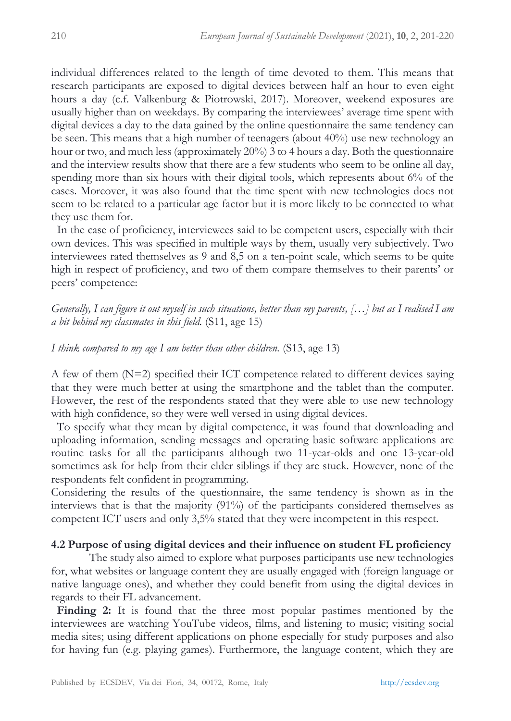individual differences related to the length of time devoted to them. This means that research participants are exposed to digital devices between half an hour to even eight hours a day (c.f. Valkenburg & Piotrowski, 2017). Moreover, weekend exposures are usually higher than on weekdays. By comparing the interviewees' average time spent with digital devices a day to the data gained by the online questionnaire the same tendency can be seen. This means that a high number of teenagers (about 40%) use new technology an hour or two, and much less (approximately 20%) 3 to 4 hours a day. Both the questionnaire and the interview results show that there are a few students who seem to be online all day, spending more than six hours with their digital tools, which represents about 6% of the cases. Moreover, it was also found that the time spent with new technologies does not seem to be related to a particular age factor but it is more likely to be connected to what they use them for.

 In the case of proficiency, interviewees said to be competent users, especially with their own devices. This was specified in multiple ways by them, usually very subjectively. Two interviewees rated themselves as 9 and 8,5 on a ten-point scale, which seems to be quite high in respect of proficiency, and two of them compare themselves to their parents' or peers' competence:

*Generally, I can figure it out myself in such situations, better than my parents, […] but as I realised I am a bit behind my classmates in this field.* (S11, age 15)

#### *I think compared to my age I am better than other children.* (S13, age 13)

A few of them  $(N=2)$  specified their ICT competence related to different devices saying that they were much better at using the smartphone and the tablet than the computer. However, the rest of the respondents stated that they were able to use new technology with high confidence, so they were well versed in using digital devices.

 To specify what they mean by digital competence, it was found that downloading and uploading information, sending messages and operating basic software applications are routine tasks for all the participants although two 11-year-olds and one 13-year-old sometimes ask for help from their elder siblings if they are stuck. However, none of the respondents felt confident in programming.

Considering the results of the questionnaire, the same tendency is shown as in the interviews that is that the majority (91%) of the participants considered themselves as competent ICT users and only 3,5% stated that they were incompetent in this respect.

#### **4.2 Purpose of using digital devices and their influence on student FL proficiency**

The study also aimed to explore what purposes participants use new technologies for, what websites or language content they are usually engaged with (foreign language or native language ones), and whether they could benefit from using the digital devices in regards to their FL advancement.

 **Finding 2:** It is found that the three most popular pastimes mentioned by the interviewees are watching YouTube videos, films, and listening to music; visiting social media sites; using different applications on phone especially for study purposes and also for having fun (e.g. playing games). Furthermore, the language content, which they are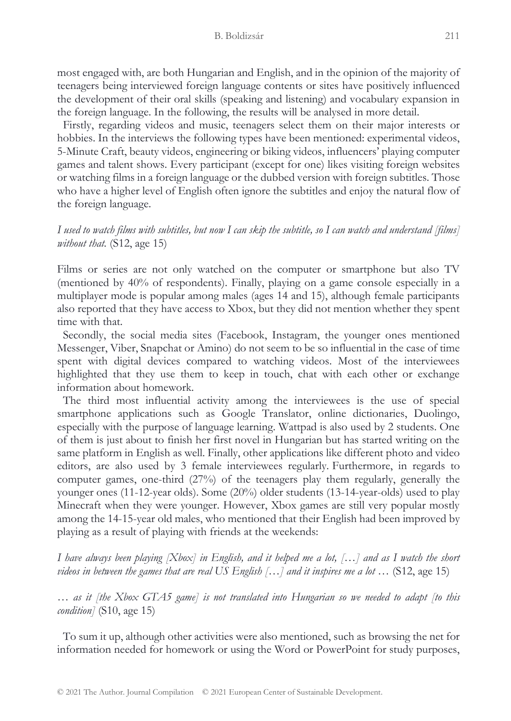most engaged with, are both Hungarian and English, and in the opinion of the majority of teenagers being interviewed foreign language contents or sites have positively influenced the development of their oral skills (speaking and listening) and vocabulary expansion in the foreign language. In the following, the results will be analysed in more detail.

 Firstly, regarding videos and music, teenagers select them on their major interests or hobbies. In the interviews the following types have been mentioned: experimental videos, 5-Minute Craft, beauty videos, engineering or biking videos, influencers' playing computer games and talent shows. Every participant (except for one) likes visiting foreign websites or watching films in a foreign language or the dubbed version with foreign subtitles. Those who have a higher level of English often ignore the subtitles and enjoy the natural flow of the foreign language.

*I used to watch films with subtitles, but now I can skip the subtitle, so I can watch and understand [films] without that.* (S12, age 15)

Films or series are not only watched on the computer or smartphone but also TV (mentioned by 40% of respondents). Finally, playing on a game console especially in a multiplayer mode is popular among males (ages 14 and 15), although female participants also reported that they have access to Xbox, but they did not mention whether they spent time with that.

 Secondly, the social media sites (Facebook, Instagram, the younger ones mentioned Messenger, Viber, Snapchat or Amino) do not seem to be so influential in the case of time spent with digital devices compared to watching videos. Most of the interviewees highlighted that they use them to keep in touch, chat with each other or exchange information about homework.

 The third most influential activity among the interviewees is the use of special smartphone applications such as Google Translator, online dictionaries, Duolingo, especially with the purpose of language learning. Wattpad is also used by 2 students. One of them is just about to finish her first novel in Hungarian but has started writing on the same platform in English as well. Finally, other applications like different photo and video editors, are also used by 3 female interviewees regularly. Furthermore, in regards to computer games, one-third (27%) of the teenagers play them regularly, generally the younger ones (11-12-year olds). Some (20%) older students (13-14-year-olds) used to play Minecraft when they were younger. However, Xbox games are still very popular mostly among the 14-15-year old males, who mentioned that their English had been improved by playing as a result of playing with friends at the weekends:

*I have always been playing [Xbox] in English, and it helped me a lot, […] and as I watch the short videos in between the games that are real US English […] and it inspires me a lot …* (S12, age 15)

*… as it [the Xbox GTA5 game] is not translated into Hungarian so we needed to adapt [to this condition]* (S10, age 15)

 To sum it up, although other activities were also mentioned, such as browsing the net for information needed for homework or using the Word or PowerPoint for study purposes,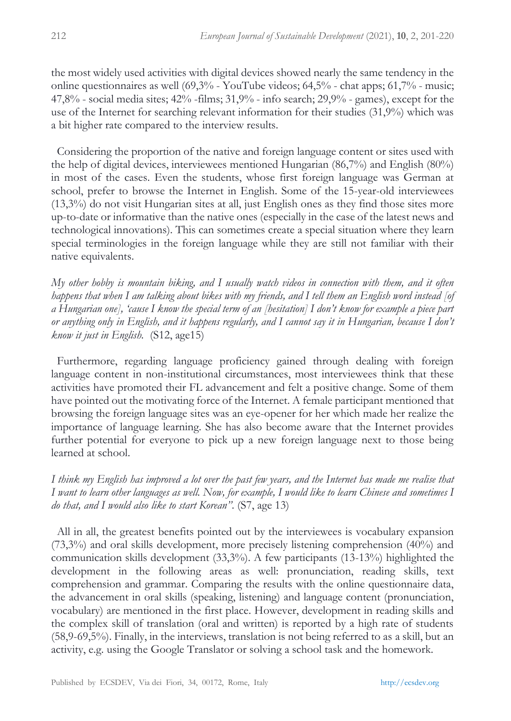the most widely used activities with digital devices showed nearly the same tendency in the online questionnaires as well  $(69,3\% - YouTube$  videos;  $64,5\% - \text{chat}$  apps;  $61,7\% - \text{music}$ ; 47,8% - social media sites; 42% -films; 31,9% - info search; 29,9% - games), except for the use of the Internet for searching relevant information for their studies (31,9%) which was a bit higher rate compared to the interview results.

 Considering the proportion of the native and foreign language content or sites used with the help of digital devices, interviewees mentioned Hungarian (86,7%) and English (80%) in most of the cases. Even the students, whose first foreign language was German at school, prefer to browse the Internet in English. Some of the 15-year-old interviewees (13,3%) do not visit Hungarian sites at all, just English ones as they find those sites more up-to-date or informative than the native ones (especially in the case of the latest news and technological innovations). This can sometimes create a special situation where they learn special terminologies in the foreign language while they are still not familiar with their native equivalents.

*My other hobby is mountain biking, and I usually watch videos in connection with them, and it often happens that when I am talking about bikes with my friends, and I tell them an English word instead [of a Hungarian one], 'cause I know the special term of an [hesitation] I don't know for example a piece part or anything only in English, and it happens regularly, and I cannot say it in Hungarian, because I don't know it just in English.* (S12, age15)

 Furthermore, regarding language proficiency gained through dealing with foreign language content in non-institutional circumstances, most interviewees think that these activities have promoted their FL advancement and felt a positive change. Some of them have pointed out the motivating force of the Internet. A female participant mentioned that browsing the foreign language sites was an eye-opener for her which made her realize the importance of language learning. She has also become aware that the Internet provides further potential for everyone to pick up a new foreign language next to those being learned at school.

*I think my English has improved a lot over the past few years, and the Internet has made me realise that I want to learn other languages as well. Now, for example, I would like to learn Chinese and sometimes I do that, and I would also like to start Korean"*. (S7, age 13)

 All in all, the greatest benefits pointed out by the interviewees is vocabulary expansion (73,3%) and oral skills development, more precisely listening comprehension (40%) and communication skills development (33,3%). A few participants (13-13%) highlighted the development in the following areas as well: pronunciation, reading skills, text comprehension and grammar. Comparing the results with the online questionnaire data, the advancement in oral skills (speaking, listening) and language content (pronunciation, vocabulary) are mentioned in the first place. However, development in reading skills and the complex skill of translation (oral and written) is reported by a high rate of students (58,9-69,5%). Finally, in the interviews, translation is not being referred to as a skill, but an activity, e.g. using the Google Translator or solving a school task and the homework.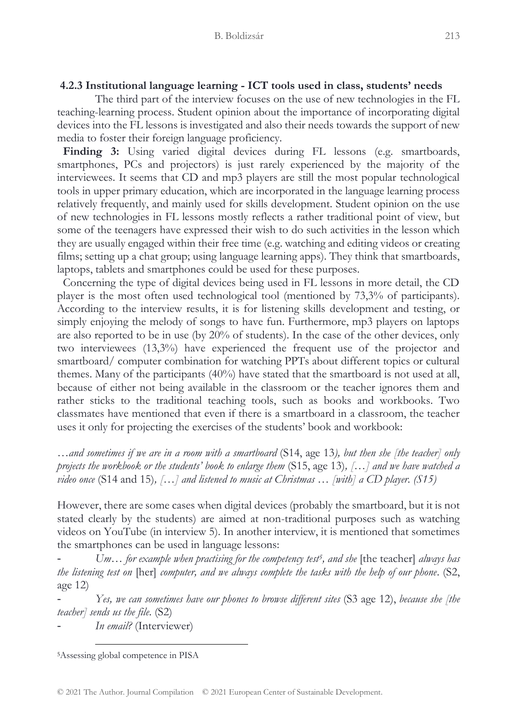#### **4.2.3 Institutional language learning - ICT tools used in class, students' needs**

The third part of the interview focuses on the use of new technologies in the FL teaching-learning process. Student opinion about the importance of incorporating digital devices into the FL lessons is investigated and also their needs towards the support of new media to foster their foreign language proficiency.

**Finding 3:** Using varied digital devices during FL lessons (e.g. smartboards, smartphones, PCs and projectors) is just rarely experienced by the majority of the interviewees. It seems that CD and mp3 players are still the most popular technological tools in upper primary education, which are incorporated in the language learning process relatively frequently, and mainly used for skills development. Student opinion on the use of new technologies in FL lessons mostly reflects a rather traditional point of view, but some of the teenagers have expressed their wish to do such activities in the lesson which they are usually engaged within their free time (e.g. watching and editing videos or creating films; setting up a chat group; using language learning apps). They think that smartboards, laptops, tablets and smartphones could be used for these purposes.

 Concerning the type of digital devices being used in FL lessons in more detail, the CD player is the most often used technological tool (mentioned by 73,3% of participants). According to the interview results, it is for listening skills development and testing, or simply enjoying the melody of songs to have fun. Furthermore, mp3 players on laptops are also reported to be in use (by 20% of students). In the case of the other devices, only two interviewees (13,3%) have experienced the frequent use of the projector and smartboard/ computer combination for watching PPTs about different topics or cultural themes. Many of the participants (40%) have stated that the smartboard is not used at all, because of either not being available in the classroom or the teacher ignores them and rather sticks to the traditional teaching tools, such as books and workbooks. Two classmates have mentioned that even if there is a smartboard in a classroom, the teacher uses it only for projecting the exercises of the students' book and workbook:

*…and sometimes if we are in a room with a smartboard* (S14, age 13*), but then she [the teacher] only projects the workbook or the students' book to enlarge them* (S15, age 13)*, […] and we have watched a video once* (S14 and 15)*, […] and listened to music at Christmas … [with] a CD player. (S15)*

However, there are some cases when digital devices (probably the smartboard, but it is not stated clearly by the students) are aimed at non-traditional purposes such as watching videos on YouTube (in interview 5). In another interview, it is mentioned that sometimes the smartphones can be used in language lessons:

- *Um… for example when practising for the competency test<sup>5</sup> , and she* [the teacher] *always has the listening test on* [her] *computer, and we always complete the tasks with the help of our phone*. (S2, age 12)

- *Yes, we can sometimes have our phones to browse different sites* (S3 age 12), *because she [the teacher] sends us the file*. (S2)

- *In email?* (Interviewer)

<sup>5</sup>Assessing global competence in PISA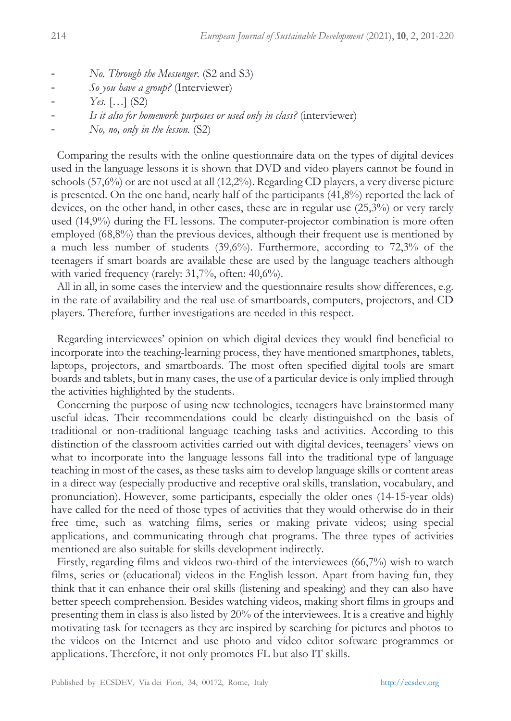- *No. Through the Messenger*. (S2 and S3)
- *So you have a group?* (Interviewer)
- *Yes.* […] (S2)
- *Is it also for homework purposes or used only in class?* (interviewer)
- *No, no, only in the lesson.* (S2)

 Comparing the results with the online questionnaire data on the types of digital devices used in the language lessons it is shown that DVD and video players cannot be found in schools (57,6%) or are not used at all (12,2%). Regarding CD players, a very diverse picture is presented. On the one hand, nearly half of the participants  $(41,8\%)$  reported the lack of devices, on the other hand, in other cases, these are in regular use (25,3%) or very rarely used (14,9%) during the FL lessons. The computer-projector combination is more often employed (68,8%) than the previous devices, although their frequent use is mentioned by a much less number of students (39,6%). Furthermore, according to 72,3% of the teenagers if smart boards are available these are used by the language teachers although with varied frequency (rarely: 31,7%, often: 40,6%).

 All in all, in some cases the interview and the questionnaire results show differences, e.g. in the rate of availability and the real use of smartboards, computers, projectors, and CD players. Therefore, further investigations are needed in this respect.

 Regarding interviewees' opinion on which digital devices they would find beneficial to incorporate into the teaching-learning process, they have mentioned smartphones, tablets, laptops, projectors, and smartboards. The most often specified digital tools are smart boards and tablets, but in many cases, the use of a particular device is only implied through the activities highlighted by the students.

 Concerning the purpose of using new technologies, teenagers have brainstormed many useful ideas. Their recommendations could be clearly distinguished on the basis of traditional or non-traditional language teaching tasks and activities. According to this distinction of the classroom activities carried out with digital devices, teenagers' views on what to incorporate into the language lessons fall into the traditional type of language teaching in most of the cases, as these tasks aim to develop language skills or content areas in a direct way (especially productive and receptive oral skills, translation, vocabulary, and pronunciation). However, some participants, especially the older ones (14-15-year olds) have called for the need of those types of activities that they would otherwise do in their free time, such as watching films, series or making private videos; using special applications, and communicating through chat programs. The three types of activities mentioned are also suitable for skills development indirectly.

 Firstly, regarding films and videos two-third of the interviewees (66,7%) wish to watch films, series or (educational) videos in the English lesson. Apart from having fun, they think that it can enhance their oral skills (listening and speaking) and they can also have better speech comprehension. Besides watching videos, making short films in groups and presenting them in class is also listed by 20% of the interviewees. It is a creative and highly motivating task for teenagers as they are inspired by searching for pictures and photos to the videos on the Internet and use photo and video editor software programmes or applications. Therefore, it not only promotes FL but also IT skills.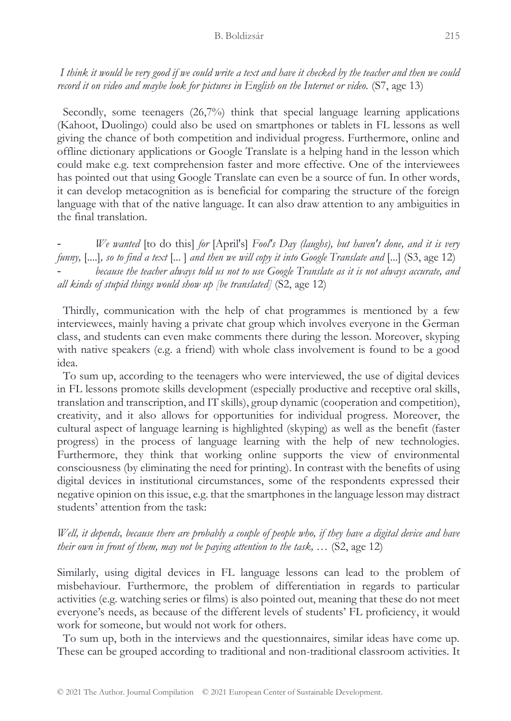#### B. Boldizsár 215

*I think it would be very good if we could write a text and have it checked by the teacher and then we could record it on video and maybe look for pictures in English on the Internet or video.* (S7, age 13)

 Secondly, some teenagers (26,7%) think that special language learning applications (Kahoot, Duolingo) could also be used on smartphones or tablets in FL lessons as well giving the chance of both competition and individual progress. Furthermore, online and offline dictionary applications or Google Translate is a helping hand in the lesson which could make e.g. text comprehension faster and more effective. One of the interviewees has pointed out that using Google Translate can even be a source of fun. In other words, it can develop metacognition as is beneficial for comparing the structure of the foreign language with that of the native language. It can also draw attention to any ambiguities in the final translation.

- *We wanted* [to do this] *for* [April's] *Fool's Day (laughs), but haven't done, and it is very funny,* [....]*, so to find a text* [... ] *and then we will copy it into Google Translate and* [...] (S3, age 12) - *because the teacher always told us not to use Google Translate as it is not always accurate, and all kinds of stupid things would show up [be translated]* (S2, age 12)

 Thirdly, communication with the help of chat programmes is mentioned by a few interviewees, mainly having a private chat group which involves everyone in the German class, and students can even make comments there during the lesson. Moreover, skyping with native speakers (e.g. a friend) with whole class involvement is found to be a good idea.

 To sum up, according to the teenagers who were interviewed, the use of digital devices in FL lessons promote skills development (especially productive and receptive oral skills, translation and transcription, and IT skills), group dynamic (cooperation and competition), creativity, and it also allows for opportunities for individual progress. Moreover, the cultural aspect of language learning is highlighted (skyping) as well as the benefit (faster progress) in the process of language learning with the help of new technologies. Furthermore, they think that working online supports the view of environmental consciousness (by eliminating the need for printing). In contrast with the benefits of using digital devices in institutional circumstances, some of the respondents expressed their negative opinion on this issue, e.g. that the smartphones in the language lesson may distract students' attention from the task:

## *Well, it depends, because there are probably a couple of people who, if they have a digital device and have their own in front of them, may not be paying attention to the task, …* (S2, age 12)

Similarly, using digital devices in FL language lessons can lead to the problem of misbehaviour. Furthermore, the problem of differentiation in regards to particular activities (e.g. watching series or films) is also pointed out, meaning that these do not meet everyone's needs, as because of the different levels of students' FL proficiency, it would work for someone, but would not work for others.

 To sum up, both in the interviews and the questionnaires, similar ideas have come up. These can be grouped according to traditional and non-traditional classroom activities. It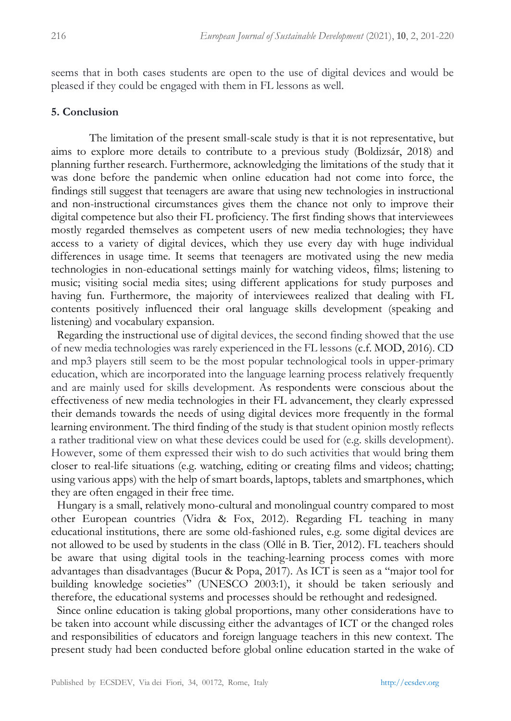seems that in both cases students are open to the use of digital devices and would be pleased if they could be engaged with them in FL lessons as well.

## **5. Conclusion**

The limitation of the present small-scale study is that it is not representative, but aims to explore more details to contribute to a previous study (Boldizsár, 2018) and planning further research. Furthermore, acknowledging the limitations of the study that it was done before the pandemic when online education had not come into force, the findings still suggest that teenagers are aware that using new technologies in instructional and non-instructional circumstances gives them the chance not only to improve their digital competence but also their FL proficiency. The first finding shows that interviewees mostly regarded themselves as competent users of new media technologies; they have access to a variety of digital devices, which they use every day with huge individual differences in usage time. It seems that teenagers are motivated using the new media technologies in non-educational settings mainly for watching videos, films; listening to music; visiting social media sites; using different applications for study purposes and having fun. Furthermore, the majority of interviewees realized that dealing with FL contents positively influenced their oral language skills development (speaking and listening) and vocabulary expansion.

 Regarding the instructional use of digital devices, the second finding showed that the use of new media technologies was rarely experienced in the FL lessons (c.f. MOD, 2016). CD and mp3 players still seem to be the most popular technological tools in upper-primary education, which are incorporated into the language learning process relatively frequently and are mainly used for skills development. As respondents were conscious about the effectiveness of new media technologies in their FL advancement, they clearly expressed their demands towards the needs of using digital devices more frequently in the formal learning environment. The third finding of the study is that student opinion mostly reflects a rather traditional view on what these devices could be used for (e.g. skills development). However, some of them expressed their wish to do such activities that would bring them closer to real-life situations (e.g. watching, editing or creating films and videos; chatting; using various apps) with the help of smart boards, laptops, tablets and smartphones, which they are often engaged in their free time.

 Hungary is a small, relatively mono-cultural and monolingual country compared to most other European countries (Vidra & Fox, 2012). Regarding FL teaching in many educational institutions, there are some old-fashioned rules, e.g. some digital devices are not allowed to be used by students in the class (Ollé in B. Tier, 2012). FL teachers should be aware that using digital tools in the teaching-learning process comes with more advantages than disadvantages (Bucur & Popa, 2017). As ICT is seen as a "major tool for building knowledge societies" (UNESCO 2003:1), it should be taken seriously and therefore, the educational systems and processes should be rethought and redesigned.

 Since online education is taking global proportions, many other considerations have to be taken into account while discussing either the advantages of ICT or the changed roles and responsibilities of educators and foreign language teachers in this new context. The present study had been conducted before global online education started in the wake of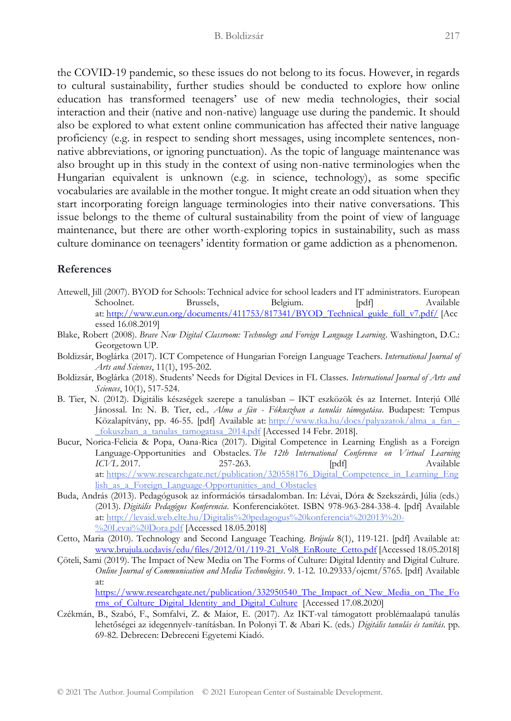the COVID-19 pandemic, so these issues do not belong to its focus. However, in regards to cultural sustainability, further studies should be conducted to explore how online education has transformed teenagers' use of new media technologies, their social interaction and their (native and non-native) language use during the pandemic. It should also be explored to what extent online communication has affected their native language proficiency (e.g. in respect to sending short messages, using incomplete sentences, nonnative abbreviations, or ignoring punctuation). As the topic of language maintenance was also brought up in this study in the context of using non-native terminologies when the Hungarian equivalent is unknown (e.g. in science, technology), as some specific vocabularies are available in the mother tongue. It might create an odd situation when they start incorporating foreign language terminologies into their native conversations. This issue belongs to the theme of cultural sustainability from the point of view of language maintenance, but there are other worth-exploring topics in sustainability, such as mass culture dominance on teenagers' identity formation or game addiction as a phenomenon.

#### **References**

- Attewell, Jill (2007). BYOD for Schools: Technical advice for school leaders and IT administrators. European Schoolnet. Brussels, Belgium. [pdf] Available at: [http://www.eun.org/documents/411753/817341/BYOD\\_Technical\\_guide\\_full\\_v7.pdf/](http://www.eun.org/documents/411753/817341/BYOD_Technical_guide_full_v7.pdf/) [Acc essed 16.08.2019]
- Blake, Robert (2008). *Brave New Digital Classroom: Technology and Foreign Language Learning*. Washington, D.C.: Georgetown UP.
- Boldizsár, Boglárka (2017). ICT Competence of Hungarian Foreign Language Teachers. *International Journal of Arts and Sciences*, 11(1), 195-202.
- Boldizsár, Boglárka (2018). Students' Needs for Digital Devices in FL Classes. *International Journal of Arts and Sciences*, 10(1), 517-524.
- B. Tier, N. (2012). Digitális készségek szerepe a tanulásban IKT eszközök és az Internet. Interjú Ollé Jánossal. In: N. B. Tier, ed*., Alma a fán - Fókuszban a tanulás támogatása*. Budapest: Tempus Közalapítvány, pp. 46-55. [pdf] Available at: [http://www.tka.hu/docs/palyazatok/alma\\_a\\_fan\\_-](http://www.tka.hu/docs/palyazatok/alma_a_fan_-_fokuszban_a_tanulas_tamogatasa_2014.pdf) [\\_fokuszban\\_a\\_tanulas\\_tamogatasa\\_2014.pdf](http://www.tka.hu/docs/palyazatok/alma_a_fan_-_fokuszban_a_tanulas_tamogatasa_2014.pdf) [Accessed 14 Febr. 2018].
- Bucur, Norica-Felicia & Popa, Oana-Rica (2017). Digital Competence in Learning English as a Foreign Language-Opportunities and Obstacles. *The 12th International Conference on Virtual Learning ICVL* 2017. 257-263. [pdf] at: [https://www.researchgate.net/publication/320558176\\_Digital\\_Competence\\_in\\_Learning\\_Eng](https://www.researchgate.net/publication/320558176_Digital_Competence_in_Learning_English_as_a_Foreign_Language-Opportunities_and_Obstacles) lish as a Foreign Language-Opportunities and Obstacles
- Buda, András (2013). Pedagógusok az információs társadalomban. In: Lévai, Dóra & Szekszárdi, Júlia (eds.) (2013). *Digitális Pedagógus Konferencia*. Konferenciakötet. ISBN 978-963-284-338-4. [pdf] Available at: [http://levaid.web.elte.hu/Digitalis%20pedagogus%20konferencia%202013%20-](http://levaid.web.elte.hu/Digitalis%20pedagogus%20konferencia%202013%20-%20Levai%20Dora.pdf) [%20Levai%20Dora.pdf](http://levaid.web.elte.hu/Digitalis%20pedagogus%20konferencia%202013%20-%20Levai%20Dora.pdf) [Accessed 18.05.2018]
- Cetto, Maria (2010). Technology and Second Language Teaching. *Brújula* 8(1), 119-121. [pdf] Available at: [www.brujula.ucdavis/edu/files/2012/01/119-21\\_Vol8\\_EnRoute\\_Cetto.pdf](http://www.brujula.ucdavis/edu/files/2012/01/119-21_Vol8_EnRoute_Cetto.pdf) [Accessed 18.05.2018]
- Çöteli, Sami (2019). The Impact of New Media on The Forms of Culture: Digital Identity and Digital Culture. *Online Journal of Communication and Media Technologies*. 9. 1-12. 10.29333/ojcmt/5765. [pdf] Available at: [https://www.researchgate.net/publication/332950540\\_The\\_Impact\\_of\\_New\\_Media\\_on\\_The\\_Fo](https://www.researchgate.net/publication/332950540_The_Impact_of_New_Media_on_The_Forms_of_Culture_Digital_Identity_and_Digital_Culture)

[rms\\_of\\_Culture\\_Digital\\_Identity\\_and\\_Digital\\_Culture](https://www.researchgate.net/publication/332950540_The_Impact_of_New_Media_on_The_Forms_of_Culture_Digital_Identity_and_Digital_Culture) [Accessed 17.08.2020]

Czékmán, B., Szabó, F., Somfalvi, Z. & Maior, E. (2017). Az IKT-val támogatott problémaalapú tanulás lehetőségei az idegennyelv-tanításban. In Polonyi T. & Abari K. (eds.) *Digitális tanulás és tanítás.* pp. 69-82. Debrecen: Debreceni Egyetemi Kiadó.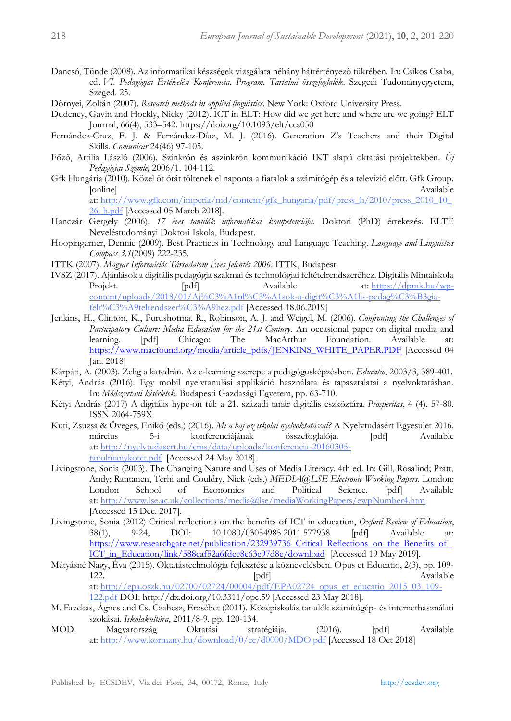- Dancsó, Tünde (2008). Az informatikai készségek vizsgálata néhány háttértényezõ tükrében. In: Csíkos Csaba, ed. *VI. Pedagógiai Értékelési Konferencia. Program. Tartalmi összefoglalók*. Szegedi Tudományegyetem, Szeged. 25.
- Dörnyei, Zoltán (2007). *Research methods in applied linguistics*. New York: Oxford University Press.
- Dudeney, Gavin and Hockly, Nicky (2012). ICT in ELT: How did we get here and where are we going? ELT Journal, 66(4), 533–542. https://doi.org/10.1093/elt/ccs050
- Fernández-Cruz, F. J. & Fernández-Díaz, M. J. (2016). Generation Z's Teachers and their Digital Skills. *Comunicar* 24(46) 97-105.
- Főző, Attilia László (2006). Szinkrón és aszinkrón kommunikáció IKT alapú oktatási projektekben. *Új Pedagógiai Szemle,* 2006/1. 104-112.
- Gfk Hungária (2010). Közel öt órát töltenek el naponta a fiatalok a számítógép és a televízió előtt. Gfk Group. [online] Available at: [http://www.gfk.com/imperia/md/content/gfk\\_hungaria/pdf/press\\_h/2010/press\\_2010\\_10\\_](http://www.gfk.com/imperia/md/content/gfk_hungaria/pdf/press_h/2010/press_2010_10_26_h.pdf) 26 h.pdf [Accessed 05 March 2018].
- Hanczár Gergely (2006). *17 éves tanulók informatikai kompetenciája*. Doktori (PhD) értekezés. ELTE Neveléstudományi Doktori Iskola, Budapest.
- Hoopingarner, Dennie (2009). Best Practices in Technology and Language Teaching. *Language and Linguistics Compass 3.1*(2009) 222-235.
- ITTK (2007). *Magyar Információs Társadalom Éves Jelentés 2006*. ITTK, Budapest.
- IVSZ (2017). Ajánlások a digitális pedagógia szakmai és technológiai feltételrendszeréhez. Digitális Mintaiskola Projekt. [pdf] Available at: [https://dpmk.hu/wp](https://dpmk.hu/wp-content/uploads/2018/01/Aj%C3%A1nl%C3%A1sok-a-digit%C3%A1lis-pedag%C3%B3gia-felt%C3%A9telrendszer%C3%A9hez.pdf)[content/uploads/2018/01/Aj%C3%A1nl%C3%A1sok-a-digit%C3%A1lis-pedag%C3%B3gia](https://dpmk.hu/wp-content/uploads/2018/01/Aj%C3%A1nl%C3%A1sok-a-digit%C3%A1lis-pedag%C3%B3gia-felt%C3%A9telrendszer%C3%A9hez.pdf)[felt%C3%A9telrendszer%C3%A9hez.pdf](https://dpmk.hu/wp-content/uploads/2018/01/Aj%C3%A1nl%C3%A1sok-a-digit%C3%A1lis-pedag%C3%B3gia-felt%C3%A9telrendszer%C3%A9hez.pdf) [Accessed 18.06.2019]
- Jenkins, H., Clinton, K., Purushotma, R., Robinson, A. J. and Weigel, M. (2006). *Confronting the Challenges of Participatory Culture: Media Education for the 21st Century*. An occasional paper on digital media and learning. [pdf] Chicago: The MacArthur Foundation. Available at: Foundation. Available at: [https://www.macfound.org/media/article\\_pdfs/JENKINS\\_WHITE\\_PAPER.PDF](https://www.macfound.org/media/article_pdfs/JENKINS_WHITE_PAPER.PDF) [Accessed 04 Jan. 2018]
- Kárpáti, A. (2003). Zelig a katedrán. Az e-learning szerepe a pedagógusképzésben. *Educatio*, 2003/3, 389-401.
- Kétyi, András (2016). Egy mobil nyelvtanulási applikáció használata és tapasztalatai a nyelvoktatásban. In: *Módszertani kisérletek*. Budapesti Gazdasági Egyetem, pp. 63-710.
- Kétyi András (2017) A digitális hype-on túl: a 21. századi tanár digitális eszköztára. *Prosperitas*, 4 (4). 57-80. ISSN 2064-759X
- Kuti, Zsuzsa & Öveges, Enikő (eds.) (2016). *Mi a baj az iskolai nyelvoktatással?* A Nyelvtudásért Egyesület 2016. március 5-i konferenciájának összefoglalója. [pdf] Available at: [http://nyelvtudasert.hu/cms/data/uploads/konferencia-20160305](http://nyelvtudasert.hu/cms/data/uploads/konferencia-20160305-tanulmanykotet.pdf) [tanulmanykotet.pdf](http://nyelvtudasert.hu/cms/data/uploads/konferencia-20160305-tanulmanykotet.pdf) [Accessed 24 May 2018].
- Livingstone, Sonia (2003). The Changing Nature and Uses of Media Literacy. 4th ed. In: Gill, Rosalind; Pratt, Andy; Rantanen, Terhi and Couldry, Nick (eds.) *MEDIA@LSE Electronic Working Papers*. London: London School of Economics and Political Science. [pdf] Available at: <http://www.lse.ac.uk/collections/media@lse/mediaWorkingPapers/ewpNumber4.htm> [Accessed 15 Dec. 2017].
- Livingstone, Sonia (2012) Critical reflections on the benefits of ICT in education, *Oxford Review of Education*, 38(1), 9-24, DOI: 10.1080/03054985.2011.577938 [pdf] Available at: [https://www.researchgate.net/publication/232939736\\_Critical\\_Reflections\\_on\\_the\\_Benefits\\_of\\_](https://www.researchgate.net/publication/232939736_Critical_Reflections_on_the_Benefits_of_ICT_in_Education/link/588caf52a6fdcc8e63c97d8e/download) [ICT\\_in\\_Education/link/588caf52a6fdcc8e63c97d8e/download](https://www.researchgate.net/publication/232939736_Critical_Reflections_on_the_Benefits_of_ICT_in_Education/link/588caf52a6fdcc8e63c97d8e/download) [Accessed 19 May 2019].
- Mátyásné Nagy, Éva (2015). Oktatástechnológia fejlesztése a köznevelésben. Opus et Educatio, 2(3), pp. 109- 122. **In the set of the set of the set of the set of the set of the set of the set of the set of the set of the set of the set of the set of the set of the set of the set of the set of the set of the set of the set of the** at: [http://epa.oszk.hu/02700/02724/00004/pdf/EPA02724\\_opus\\_et\\_educatio\\_2015\\_03\\_109-](http://epa.oszk.hu/02700/02724/00004/pdf/EPA02724_opus_et_educatio_2015_03_109-122.pdf) [122.pdf](http://epa.oszk.hu/02700/02724/00004/pdf/EPA02724_opus_et_educatio_2015_03_109-122.pdf) DOI: http://dx.doi.org/10.3311/ope.59 [Accessed 23 May 2018].
- M. Fazekas, Ágnes and Cs. Czahesz, Erzsébet (2011). Középiskolás tanulók számítógép- és internethasználati szokásai. *Iskolakultúra*, 2011/8-9. pp. 120-134.
- MOD. Magyarország Oktatási stratégiája. (2016). [pdf] Available at: <http://www.kormany.hu/download/0/cc/d0000/MDO.pdf> [Accessed 18 Oct 2018]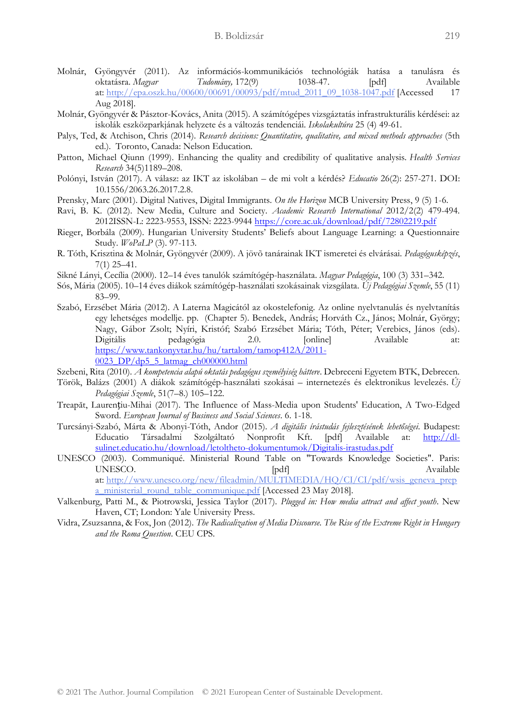- Molnár, Gyöngyvér (2011). Az információs-kommunikációs technológiák hatása a tanulásra és oktatásra. *Magyar Tudomány,* 172(9) 1038-47. [pdf] Available at: [http://epa.oszk.hu/00600/00691/00093/pdf/mtud\\_2011\\_09\\_1038-1047.pdf](http://epa.oszk.hu/00600/00691/00093/pdf/mtud_2011_09_1038-1047.pdf) [Accessed Aug 2018].
- Molnár, Gyöngyvér & Pásztor-Kovács, Anita (2015). A számítógépes vizsgáztatás infrastrukturális kérdései: az iskolák eszközparkjának helyzete és a változás tendenciái. *Iskolakultúra* 25 (4) 49-61.
- Palys, Ted, & Atchison, Chris (2014). *Research decisions: Quantitative, qualitative, and mixed methods approaches* (5th ed.). Toronto, Canada: Nelson Education.
- Patton, Michael Qiunn (1999). Enhancing the quality and credibility of qualitative analysis. *Health Services Research* 34(5)1189–208.
- Polónyi, István (2017). A válasz: az IKT az iskolában de mi volt a kérdés? *Educatio* 26(2): 257-271. DOI: 10.1556/2063.26.2017.2.8.
- Prensky, Marc (2001). Digital Natives, Digital Immigrants. *On the Horizon* MCB University Press, 9 (5) 1-6.
- Ravi, B. K. (2012). New Media, Culture and Society. *Academic Research International* 2012/2(2) 479-494. 2012ISSN-L: 2223-9553, ISSN: 2223-9944<https://core.ac.uk/download/pdf/72802219.pdf>
- Rieger, Borbála (2009). Hungarian University Students' Beliefs about Language Learning: a Questionnaire Study. *WoPaLP* (3). 97-113.
- R. Tóth, Krisztina & Molnár, Gyöngyvér (2009). A jövõ tanárainak IKT ismeretei és elvárásai. *Pedagógusképzés*, 7(1) 25–41.
- Sikné Lányi, Cecília (2000). 12–14 éves tanulók számítógép-használata. *Magyar Pedagógia*, 100 (3) 331–342.
- Sós, Mária (2005). 10–14 éves diákok számítógép-használati szokásainak vizsgálata. *Új Pedagógiai Szemle*, 55 (11) 83–99.
- Szabó, Erzsébet Mária (2012). A Laterna Magicától az okostelefonig. Az online nyelvtanulás és nyelvtanítás egy lehetséges modellje. pp. (Chapter 5). Benedek, András; Horváth Cz., János; Molnár, György; Nagy, Gábor Zsolt; Nyíri, Kristóf; Szabó Erzsébet Mária; Tóth, Péter; Verebics, János (eds). Digitális pedagógia 2.0. [online] Available at: [https://www.tankonyvtar.hu/hu/tartalom/tamop412A/2011-](https://www.tankonyvtar.hu/hu/tartalom/tamop412A/2011-0023_DP/dp5_5_latmag_ch000000.html) [0023\\_DP/dp5\\_5\\_latmag\\_ch000000.html](https://www.tankonyvtar.hu/hu/tartalom/tamop412A/2011-0023_DP/dp5_5_latmag_ch000000.html)
- Szebeni, Rita (2010). *A kompetencia alapú oktatás pedagógus személyiség háttere*. Debreceni Egyetem BTK, Debrecen.
- Török, Balázs (2001) A diákok számítógép-használati szokásai internetezés és elektronikus levelezés. *Új Pedagógiai Szemle*, 51(7–8.) 105–122.
- Treapăt, Laurențiu-Mihai (2017). The Influence of Mass-Media upon Students' Education, A Two-Edged Sword. *European Journal of Business and Social Sciences*. 6. 1-18.
- Turcsányi-Szabó, Márta & Abonyi-Tóth, Andor (2015). *A digitális írástudás fejlesztésének lehetőségei*. Budapest: Educatio Társadalmi Szolgáltató Nonprofit Kft. [pdf] Available at: [http://dl](http://dl-sulinet.educatio.hu/download/letoltheto-dokumentumok/Digitalis-irastudas.pdf)[sulinet.educatio.hu/download/letoltheto-dokumentumok/Digitalis-irastudas.pdf](http://dl-sulinet.educatio.hu/download/letoltheto-dokumentumok/Digitalis-irastudas.pdf)
- UNESCO (2003). Communiqué. Ministerial Round Table on "Towards Knowledge Societies". Paris: UNESCO. [pdf] Available at: [http://www.unesco.org/new/fileadmin/MULTIMEDIA/HQ/CI/CI/pdf/wsis\\_geneva\\_prep](http://www.unesco.org/new/fileadmin/MULTIMEDIA/HQ/CI/CI/pdf/wsis_geneva_prepa_ministerial_round_table_communique.pdf) [a\\_ministerial\\_round\\_table\\_communique.pdf](http://www.unesco.org/new/fileadmin/MULTIMEDIA/HQ/CI/CI/pdf/wsis_geneva_prepa_ministerial_round_table_communique.pdf) [Accessed 23 May 2018].
- Valkenburg, Patti M., & Piotrowski, Jessica Taylor (2017). *Plugged in: How media attract and affect youth*. New Haven, CT; London: Yale University Press.
- Vidra, Zsuzsanna, & Fox, Jon (2012). *The Radicalization of Media Discourse. The Rise of the Extreme Right in Hungary and the Roma Question*. CEU CPS.